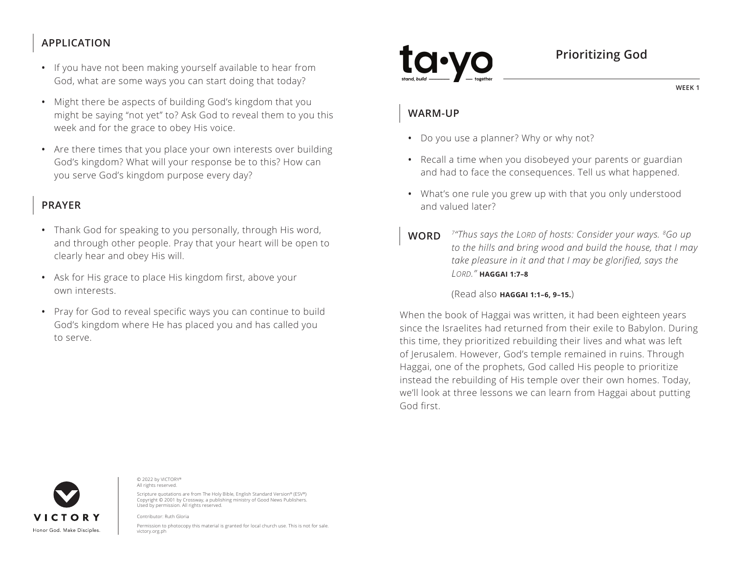## **APPLICATION**

- If you have not been making yourself available to hear from God, what are some ways you can start doing that today?
- Might there be aspects of building God's kingdom that you might be saying "not yet" to? Ask God to reveal them to you this week and for the grace to obey His voice.
- Are there times that you place your own interests over building God's kingdom? What will your response be to this? How can you serve God's kingdom purpose every day?

## **PRAYER**

- Thank God for speaking to you personally, through His word, and through other people. Pray that your heart will be open to clearly hear and obey His will.
- Ask for His grace to place His kingdom first, above your own interests.
- Pray for God to reveal specific ways you can continue to build God's kingdom where He has placed you and has called you to serve.

# **Prioritizing God**

**WEEK 1**

#### **WARM-UP**

- Do you use a planner? Why or why not?
- Recall a time when you disobeyed your parents or guardian and had to face the consequences. Tell us what happened.
- What's one rule you grew up with that you only understood and valued later?
- **WORD** *7"Thus says the LORD of hosts: Consider your ways. 8Go up to the hills and bring wood and build the house, that I may take pleasure in it and that I may be glorified, says the LORD." ^***HAGGAI 1:7–8**

(Read also **^HAGGAI 1:1–6, 9–15.**)

When the book of Haggai was written, it had been eighteen years since the Israelites had returned from their exile to Babylon. During this time, they prioritized rebuilding their lives and what was left of Jerusalem. However, God's temple remained in ruins. Through Haggai, one of the prophets, God called His people to prioritize instead the rebuilding of His temple over their own homes. Today, we'll look at three lessons we can learn from Haggai about putting God first.



© 2022 by VICTORY® All rights reserved.

Scripture quotations are from The Holy Bible, English Standard Version® (ESV®) Copyright © 2001 by Crossway, a publishing ministry of Good News Publishers. Used by permission. All rights reserved.

Contributor: Ruth Gloria

Permission to photocopy this material is granted for local church use. This is not for sale. victory.org.ph